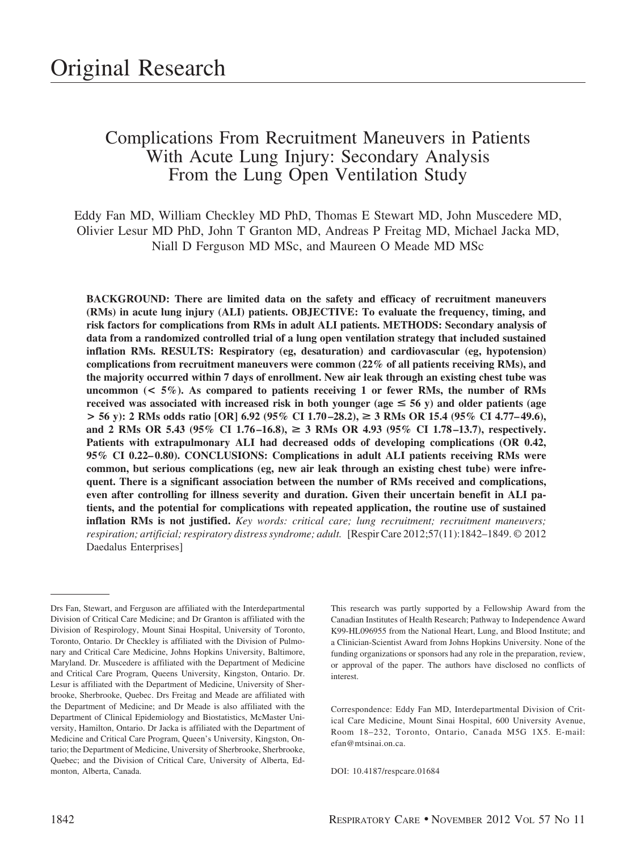# Complications From Recruitment Maneuvers in Patients With Acute Lung Injury: Secondary Analysis From the Lung Open Ventilation Study

Eddy Fan MD, William Checkley MD PhD, Thomas E Stewart MD, John Muscedere MD, Olivier Lesur MD PhD, John T Granton MD, Andreas P Freitag MD, Michael Jacka MD, Niall D Ferguson MD MSc, and Maureen O Meade MD MSc

**BACKGROUND: There are limited data on the safety and efficacy of recruitment maneuvers (RMs) in acute lung injury (ALI) patients. OBJECTIVE: To evaluate the frequency, timing, and risk factors for complications from RMs in adult ALI patients. METHODS: Secondary analysis of data from a randomized controlled trial of a lung open ventilation strategy that included sustained inflation RMs. RESULTS: Respiratory (eg, desaturation) and cardiovascular (eg, hypotension) complications from recruitment maneuvers were common (22% of all patients receiving RMs), and the majority occurred within 7 days of enrollment. New air leak through an existing chest tube was** uncommon  $(< 5\%)$ . As compared to patients receiving 1 or fewer RMs, the number of RMs received was associated with increased risk in both younger ( $age \leq 56$  y) and older patients (age **> 56 y): 2 RMs odds ratio [OR] 6.92 (95% CI 1.70 –28.2),** > **3 RMs OR 15.4 (95% CI 4.77– 49.6), and 2 RMs OR 5.43 (95% CI 1.76 –16.8),** > **3 RMs OR 4.93 (95% CI 1.78 –13.7), respectively. Patients with extrapulmonary ALI had decreased odds of developing complications (OR 0.42, 95% CI 0.22– 0.80). CONCLUSIONS: Complications in adult ALI patients receiving RMs were common, but serious complications (eg, new air leak through an existing chest tube) were infrequent. There is a significant association between the number of RMs received and complications, even after controlling for illness severity and duration. Given their uncertain benefit in ALI patients, and the potential for complications with repeated application, the routine use of sustained inflation RMs is not justified.** *Key words: critical care; lung recruitment; recruitment maneuvers; respiration; artificial; respiratory distress syndrome; adult.* [Respir Care 2012;57(11):1842–1849. © 2012 Daedalus Enterprises]

This research was partly supported by a Fellowship Award from the Canadian Institutes of Health Research; Pathway to Independence Award K99-HL096955 from the National Heart, Lung, and Blood Institute; and a Clinician-Scientist Award from Johns Hopkins University. None of the funding organizations or sponsors had any role in the preparation, review, or approval of the paper. The authors have disclosed no conflicts of interest.

Correspondence: Eddy Fan MD, Interdepartmental Division of Critical Care Medicine, Mount Sinai Hospital, 600 University Avenue, Room 18–232, Toronto, Ontario, Canada M5G 1X5. E-mail: efan@mtsinai.on.ca.

DOI: 10.4187/respcare.01684

Drs Fan, Stewart, and Ferguson are affiliated with the Interdepartmental Division of Critical Care Medicine; and Dr Granton is affiliated with the Division of Respirology, Mount Sinai Hospital, University of Toronto, Toronto, Ontario. Dr Checkley is affiliated with the Division of Pulmonary and Critical Care Medicine, Johns Hopkins University, Baltimore, Maryland. Dr. Muscedere is affiliated with the Department of Medicine and Critical Care Program, Queens University, Kingston, Ontario. Dr. Lesur is affiliated with the Department of Medicine, University of Sherbrooke, Sherbrooke, Quebec. Drs Freitag and Meade are affiliated with the Department of Medicine; and Dr Meade is also affiliated with the Department of Clinical Epidemiology and Biostatistics, McMaster University, Hamilton, Ontario. Dr Jacka is affiliated with the Department of Medicine and Critical Care Program, Queen's University, Kingston, Ontario; the Department of Medicine, University of Sherbrooke, Sherbrooke, Quebec; and the Division of Critical Care, University of Alberta, Edmonton, Alberta, Canada.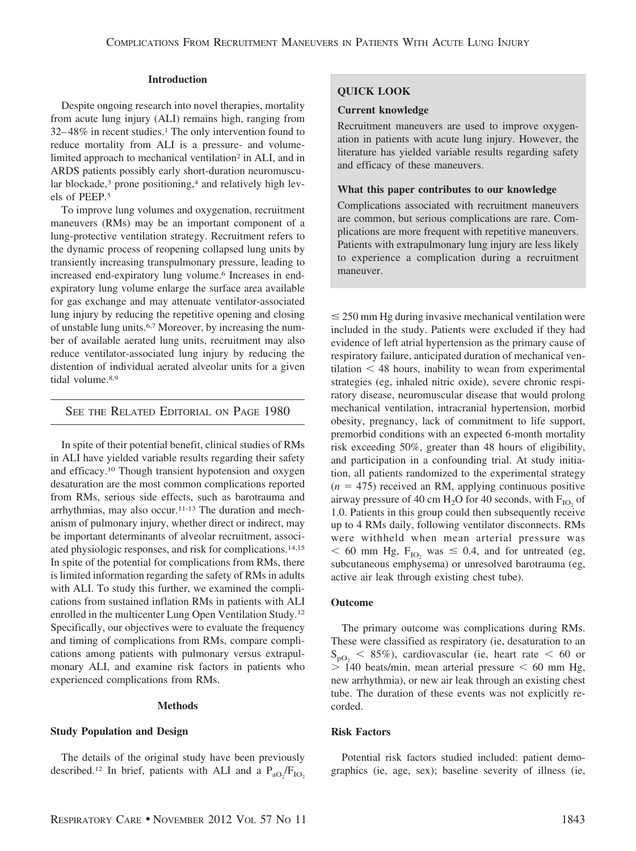## **Introduction**

Despite ongoing research into novel therapies, mortality from acute lung injury (ALI) remains high, ranging from  $32-48\%$  in recent studies.<sup>1</sup> The only intervention found to reduce mortality from ALI is a pressure- and volumelimited approach to mechanical ventilation<sup>2</sup> in ALI, and in ARDS patients possibly early short-duration neuromuscular blockade,<sup>3</sup> prone positioning,<sup>4</sup> and relatively high levels of PEEP.5

To improve lung volumes and oxygenation, recruitment maneuvers (RMs) may be an important component of a lung-protective ventilation strategy. Recruitment refers to the dynamic process of reopening collapsed lung units by transiently increasing transpulmonary pressure, leading to increased end-expiratory lung volume.6 Increases in endexpiratory lung volume enlarge the surface area available for gas exchange and may attenuate ventilator-associated lung injury by reducing the repetitive opening and closing of unstable lung units.6,7 Moreover, by increasing the number of available aerated lung units, recruitment may also reduce ventilator-associated lung injury by reducing the distention of individual aerated alveolar units for a given tidal volume.<sup>8,9</sup>

# SEE THE RELATED EDITORIAL ON PAGE 1980

In spite of their potential benefit, clinical studies of RMs in ALI have yielded variable results regarding their safety and efficacy.10 Though transient hypotension and oxygen desaturation are the most common complications reported from RMs, serious side effects, such as barotrauma and arrhythmias, may also occur.11-13 The duration and mechanism of pulmonary injury, whether direct or indirect, may be important determinants of alveolar recruitment, associated physiologic responses, and risk for complications.14,15 In spite of the potential for complications from RMs, there is limited information regarding the safety of RMs in adults with ALI. To study this further, we examined the complications from sustained inflation RMs in patients with ALI enrolled in the multicenter Lung Open Ventilation Study.12 Specifically, our objectives were to evaluate the frequency and timing of complications from RMs, compare complications among patients with pulmonary versus extrapulmonary ALI, and examine risk factors in patients who experienced complications from RMs.

#### **Methods**

## **Study Population and Design**

The details of the original study have been previously described.<sup>12</sup> In brief, patients with ALI and a  $P_{aO_2}/F_{IO_2}$ 

# **QUICK LOOK**

#### **Current knowledge**

Recruitment maneuvers are used to improve oxygenation in patients with acute lung injury. However, the literature has yielded variable results regarding safety and efficacy of these maneuvers.

## **What this paper contributes to our knowledge**

Complications associated with recruitment maneuvers are common, but serious complications are rare. Complications are more frequent with repetitive maneuvers. Patients with extrapulmonary lung injury are less likely to experience a complication during a recruitment maneuver.

 $\leq$  250 mm Hg during invasive mechanical ventilation were included in the study. Patients were excluded if they had evidence of left atrial hypertension as the primary cause of respiratory failure, anticipated duration of mechanical ven $t$ ilation  $\leq 48$  hours, inability to wean from experimental strategies (eg, inhaled nitric oxide), severe chronic respiratory disease, neuromuscular disease that would prolong mechanical ventilation, intracranial hypertension, morbid obesity, pregnancy, lack of commitment to life support, premorbid conditions with an expected 6-month mortality risk exceeding 50%, greater than 48 hours of eligibility, and participation in a confounding trial. At study initiation, all patients randomized to the experimental strategy  $(n = 475)$  received an RM, applying continuous positive airway pressure of 40 cm  $H_2O$  for 40 seconds, with  $F_{IO}$  of 1.0. Patients in this group could then subsequently receive up to 4 RMs daily, following ventilator disconnects. RMs were withheld when mean arterial pressure was  $<$  60 mm Hg, F<sub>IO2</sub> was  $\leq$  0.4, and for untreated (eg, subcutaneous emphysema) or unresolved barotrauma (eg, active air leak through existing chest tube).

## **Outcome**

The primary outcome was complications during RMs. These were classified as respiratory (ie, desaturation to an  $S_{\text{pO}_2}$  < 85%), cardiovascular (ie, heart rate < 60 or  $> 140$  beats/min, mean arterial pressure  $< 60$  mm Hg, new arrhythmia), or new air leak through an existing chest tube. The duration of these events was not explicitly recorded.

#### **Risk Factors**

Potential risk factors studied included: patient demographics (ie, age, sex); baseline severity of illness (ie,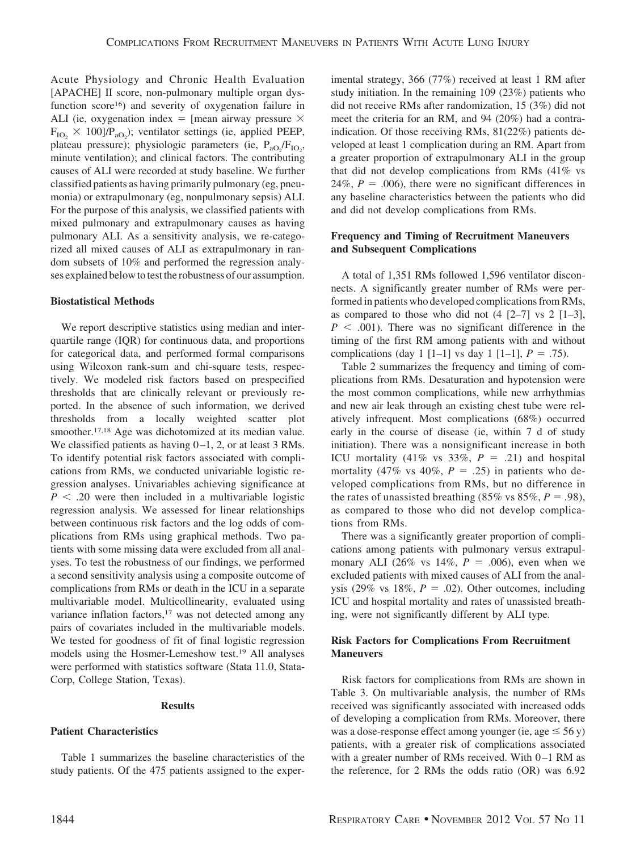Acute Physiology and Chronic Health Evaluation [APACHE] II score, non-pulmonary multiple organ dysfunction score<sup>16</sup>) and severity of oxygenation failure in ALI (ie, oxygenation index  $=$  [mean airway pressure  $\times$  $F_{IO_2} \times 100$ ]/ $P_{aO_2}$ ); ventilator settings (ie, applied PEEP, plateau pressure); physiologic parameters (ie,  $P_{aO_2}/F_{IO_2}$ , minute ventilation); and clinical factors. The contributing causes of ALI were recorded at study baseline. We further classified patients as having primarily pulmonary (eg, pneumonia) or extrapulmonary (eg, nonpulmonary sepsis) ALI. For the purpose of this analysis, we classified patients with mixed pulmonary and extrapulmonary causes as having pulmonary ALI. As a sensitivity analysis, we re-categorized all mixed causes of ALI as extrapulmonary in random subsets of 10% and performed the regression analyses explained below to test the robustness of our assumption.

## **Biostatistical Methods**

We report descriptive statistics using median and interquartile range (IQR) for continuous data, and proportions for categorical data, and performed formal comparisons using Wilcoxon rank-sum and chi-square tests, respectively. We modeled risk factors based on prespecified thresholds that are clinically relevant or previously reported. In the absence of such information, we derived thresholds from a locally weighted scatter plot smoother.<sup>17,18</sup> Age was dichotomized at its median value. We classified patients as having  $0-1$ , 2, or at least 3 RMs. To identify potential risk factors associated with complications from RMs, we conducted univariable logistic regression analyses. Univariables achieving significance at  $P < .20$  were then included in a multivariable logistic regression analysis. We assessed for linear relationships between continuous risk factors and the log odds of complications from RMs using graphical methods. Two patients with some missing data were excluded from all analyses. To test the robustness of our findings, we performed a second sensitivity analysis using a composite outcome of complications from RMs or death in the ICU in a separate multivariable model. Multicollinearity, evaluated using variance inflation factors,<sup>17</sup> was not detected among any pairs of covariates included in the multivariable models. We tested for goodness of fit of final logistic regression models using the Hosmer-Lemeshow test.19 All analyses were performed with statistics software (Stata 11.0, Stata-Corp, College Station, Texas).

## **Results**

# **Patient Characteristics**

Table 1 summarizes the baseline characteristics of the study patients. Of the 475 patients assigned to the experimental strategy, 366 (77%) received at least 1 RM after study initiation. In the remaining 109 (23%) patients who did not receive RMs after randomization, 15 (3%) did not meet the criteria for an RM, and 94 (20%) had a contraindication. Of those receiving RMs, 81(22%) patients developed at least 1 complication during an RM. Apart from a greater proportion of extrapulmonary ALI in the group that did not develop complications from RMs (41% vs 24%,  $P = 0.006$ ), there were no significant differences in any baseline characteristics between the patients who did and did not develop complications from RMs.

## **Frequency and Timing of Recruitment Maneuvers and Subsequent Complications**

A total of 1,351 RMs followed 1,596 ventilator disconnects. A significantly greater number of RMs were performed in patients who developed complications from RMs, as compared to those who did not  $(4 \lceil 2-7 \rceil)$  vs 2  $\lceil 1-3 \rceil$ ,  $P < .001$ ). There was no significant difference in the timing of the first RM among patients with and without complications (day 1 [1–1] vs day 1 [1–1],  $P = .75$ ).

Table 2 summarizes the frequency and timing of complications from RMs. Desaturation and hypotension were the most common complications, while new arrhythmias and new air leak through an existing chest tube were relatively infrequent. Most complications (68%) occurred early in the course of disease (ie, within 7 d of study initiation). There was a nonsignificant increase in both ICU mortality  $(41\% \text{ vs } 33\%, P = .21)$  and hospital mortality (47% vs 40%,  $P = .25$ ) in patients who developed complications from RMs, but no difference in the rates of unassisted breathing  $(85\% \text{ vs } 85\%, P = .98)$ , as compared to those who did not develop complications from RMs.

There was a significantly greater proportion of complications among patients with pulmonary versus extrapulmonary ALI (26% vs  $14\%, P = .006$ ), even when we excluded patients with mixed causes of ALI from the analysis (29% vs  $18\%, P = .02$ ). Other outcomes, including ICU and hospital mortality and rates of unassisted breathing, were not significantly different by ALI type.

# **Risk Factors for Complications From Recruitment Maneuvers**

Risk factors for complications from RMs are shown in Table 3. On multivariable analysis, the number of RMs received was significantly associated with increased odds of developing a complication from RMs. Moreover, there was a dose-response effect among younger (ie, age  $\leq$  56 y) patients, with a greater risk of complications associated with a greater number of RMs received. With  $0-1$  RM as the reference, for 2 RMs the odds ratio (OR) was 6.92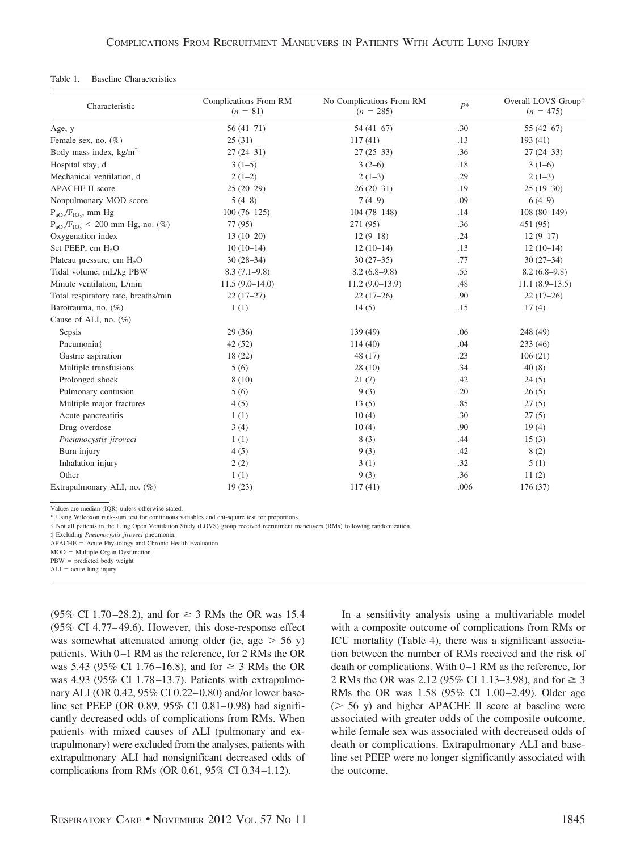#### Table 1. Baseline Characteristics

| Characteristic                           | Complications From RM<br>$(n = 81)$ | No Complications From RM<br>$(n = 285)$ | $P*$ | Overall LOVS Group†<br>$(n = 475)$ |
|------------------------------------------|-------------------------------------|-----------------------------------------|------|------------------------------------|
| Age, y                                   | $56(41-71)$                         | $54(41-67)$                             | .30  | $55(42-67)$                        |
| Female sex, no. $(\%)$                   | 25(31)                              | 117(41)                                 | .13  | 193(41)                            |
| Body mass index, $\text{kg/m}^2$         | $27(24-31)$                         | $27(25-33)$                             | .36  | $27(24-33)$                        |
| Hospital stay, d                         | $3(1-5)$                            | $3(2-6)$                                | .18  | $3(1-6)$                           |
| Mechanical ventilation, d                | $2(1-2)$                            | $2(1-3)$                                | .29  | $2(1-3)$                           |
| <b>APACHE II score</b>                   | $25(20-29)$                         | $26(20-31)$                             | .19  | $25(19-30)$                        |
| Nonpulmonary MOD score                   | $5(4-8)$                            | $7(4-9)$                                | .09  | $6(4-9)$                           |
| $P_{aO}$ / $F_{IO}$ , mm Hg              | $100(76-125)$                       | $104(78-148)$                           | .14  | $108(80-149)$                      |
| $P_{aO_2}/F_{IO_2}$ < 200 mm Hg, no. (%) | 77 (95)                             | 271 (95)                                | .36  | 451 (95)                           |
| Oxygenation index                        | $13(10-20)$                         | $12(9-18)$                              | .24  | $12(9-17)$                         |
| Set PEEP, cm H <sub>2</sub> O            | $10(10-14)$                         | $12(10-14)$                             | .13  | $12(10-14)$                        |
| Plateau pressure, cm H <sub>2</sub> O    | $30(28-34)$                         | $30(27-35)$                             | .77  | $30(27-34)$                        |
| Tidal volume, mL/kg PBW                  | $8.3(7.1-9.8)$                      | $8.2(6.8-9.8)$                          | .55  | $8.2(6.8-9.8)$                     |
| Minute ventilation, L/min                | $11.5(9.0-14.0)$                    | $11.2(9.0-13.9)$                        | .48  | $11.1(8.9-13.5)$                   |
| Total respiratory rate, breaths/min      | $22(17-27)$                         | $22(17-26)$                             | .90  | $22(17-26)$                        |
| Barotrauma, no. (%)                      | 1(1)                                | 14(5)                                   | .15  | 17(4)                              |
| Cause of ALI, no. $(\%)$                 |                                     |                                         |      |                                    |
| Sepsis                                   | 29(36)                              | 139 (49)                                | .06  | 248 (49)                           |
| Pneumonia‡                               | 42(52)                              | 114(40)                                 | .04  | 233(46)                            |
| Gastric aspiration                       | 18(22)                              | 48(17)                                  | .23  | 106(21)                            |
| Multiple transfusions                    | 5(6)                                | 28(10)                                  | .34  | 40(8)                              |
| Prolonged shock                          | 8(10)                               | 21(7)                                   | .42  | 24(5)                              |
| Pulmonary contusion                      | 5(6)                                | 9(3)                                    | .20  | 26(5)                              |
| Multiple major fractures                 | 4(5)                                | 13(5)                                   | .85  | 27(5)                              |
| Acute pancreatitis                       | 1(1)                                | 10(4)                                   | .30  | 27(5)                              |
| Drug overdose                            | 3(4)                                | 10(4)                                   | .90  | 19(4)                              |
| Pneumocystis jiroveci                    | 1(1)                                | 8(3)                                    | .44  | 15(3)                              |
| Burn injury                              | 4(5)                                | 9(3)                                    | .42  | 8(2)                               |
| Inhalation injury                        | 2(2)                                | 3(1)                                    | .32  | 5(1)                               |
| Other                                    | 1(1)                                | 9(3)                                    | .36  | 11(2)                              |
| Extrapulmonary ALI, no. (%)              | 19(23)                              | 117(41)                                 | .006 | 176(37)                            |

Values are median (IQR) unless otherwise stated.

\* Using Wilcoxon rank-sum test for continuous variables and chi-square test for proportions.

† Not all patients in the Lung Open Ventilation Study (LOVS) group received recruitment maneuvers (RMs) following randomization.

‡ Excluding *Pneumocystis jiroveci* pneumonia.

APACHE = Acute Physiology and Chronic Health Evaluation

 $MOD = Multiple Organ Dysfunction$ 

 $PBW =$  predicted body weight

 $ALI = acute lung injury$ 

 $(95\% \text{ CI } 1.70 - 28.2)$ , and for  $\geq 3 \text{ RMS}$  the OR was 15.4 (95% CI 4.77– 49.6). However, this dose-response effect was somewhat attenuated among older (ie, age  $> 56$  y) patients. With 0-1 RM as the reference, for 2 RMs the OR was 5.43 (95% CI 1.76–16.8), and for  $\geq$  3 RMs the OR was 4.93 (95% CI 1.78–13.7). Patients with extrapulmonary ALI (OR 0.42, 95% CI 0.22– 0.80) and/or lower baseline set PEEP (OR 0.89,  $95\%$  CI 0.81–0.98) had significantly decreased odds of complications from RMs. When patients with mixed causes of ALI (pulmonary and extrapulmonary) were excluded from the analyses, patients with extrapulmonary ALI had nonsignificant decreased odds of complications from RMs (OR 0.61, 95% CI 0.34 –1.12).

In a sensitivity analysis using a multivariable model with a composite outcome of complications from RMs or ICU mortality (Table 4), there was a significant association between the number of RMs received and the risk of death or complications. With 0 –1 RM as the reference, for 2 RMs the OR was 2.12 (95% CI 1.13–3.98), and for  $\geq 3$ RMs the OR was 1.58 (95% CI 1.00–2.49). Older age  $($   $>$  56 y) and higher APACHE II score at baseline were associated with greater odds of the composite outcome, while female sex was associated with decreased odds of death or complications. Extrapulmonary ALI and baseline set PEEP were no longer significantly associated with the outcome.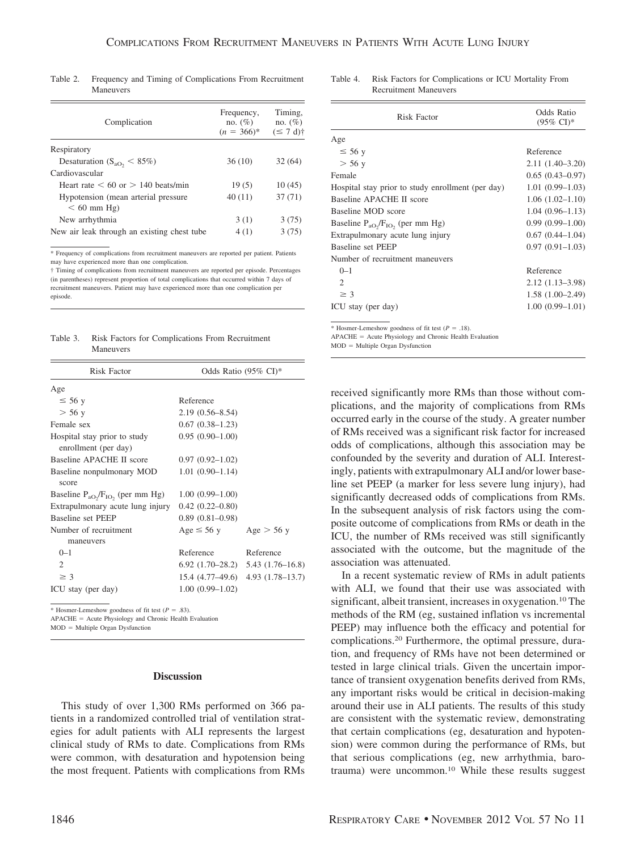| Complication                                         | Frequency,<br>no. $(\% )$<br>$(n = 366)^*$ | Timing.<br>no. $(\%)$<br>$(\leq 7 \text{ d})\dagger$ |
|------------------------------------------------------|--------------------------------------------|------------------------------------------------------|
| Respiratory                                          |                                            |                                                      |
| Desaturation ( $S_{aO_2}$ < 85%)                     | 36(10)                                     | 32(64)                                               |
| Cardiovascular                                       |                                            |                                                      |
| Heart rate $\leq 60$ or $> 140$ beats/min            | 19(5)                                      | 10(45)                                               |
| Hypotension (mean arterial pressure<br>$< 60$ mm Hg) | 40(11)                                     | 37(71)                                               |
| New arrhythmia                                       | 3(1)                                       | 3(75)                                                |
| New air leak through an existing chest tube          | 4(1)                                       | 3(75)                                                |

Table 2. Frequency and Timing of Complications From Recruitment Maneuvers

\* Frequency of complications from recruitment maneuvers are reported per patient. Patients may have experienced more than one complication.

† Timing of complications from recruitment maneuvers are reported per episode. Percentages (in parentheses) represent proportion of total complications that occurred within 7 days of recruitment maneuvers. Patient may have experienced more than one complication per episode.

Table 3. Risk Factors for Complications From Recruitment Maneuvers

| <b>Risk Factor</b>                                   | Odds Ratio (95% CI)* |                                           |  |
|------------------------------------------------------|----------------------|-------------------------------------------|--|
| Age                                                  |                      |                                           |  |
| $\leq 56$ y                                          | Reference            |                                           |  |
| $>$ 56 y                                             | $2.19(0.56 - 8.54)$  |                                           |  |
| Female sex                                           | $0.67(0.38-1.23)$    |                                           |  |
| Hospital stay prior to study<br>enrollment (per day) | $0.95(0.90-1.00)$    |                                           |  |
| Baseline APACHE II score                             | $0.97(0.92 - 1.02)$  |                                           |  |
| Baseline nonpulmonary MOD<br>score                   | $1.01(0.90 - 1.14)$  |                                           |  |
| Baseline $P_{aO}$ , $F_{IO}$ , (per mm Hg)           | $1.00(0.99-1.00)$    |                                           |  |
| Extrapulmonary acute lung injury                     | $0.42(0.22 - 0.80)$  |                                           |  |
| Baseline set PEEP                                    | $0.89(0.81 - 0.98)$  |                                           |  |
| Number of recruitment<br>maneuvers                   | $Age \leq 56$ y      | Age $>$ 56 y                              |  |
| $0 - 1$                                              | Reference            | Reference                                 |  |
| $\mathcal{D}_{\mathcal{L}}$                          |                      | $6.92$ $(1.70-28.2)$ $5.43$ $(1.76-16.8)$ |  |
| $\geq$ 3                                             |                      | $15.4(4.77-49.6)$ $4.93(1.78-13.7)$       |  |
| ICU stay (per day)                                   | $1.00(0.99 - 1.02)$  |                                           |  |
|                                                      |                      |                                           |  |

\* Hosmer-Lemeshow goodness of fit test  $(P = .83)$ .

APACHE = Acute Physiology and Chronic Health Evaluation

 $MOD = Multiple Organ Dysfunction$ 

## **Discussion**

This study of over 1,300 RMs performed on 366 patients in a randomized controlled trial of ventilation strategies for adult patients with ALI represents the largest clinical study of RMs to date. Complications from RMs were common, with desaturation and hypotension being the most frequent. Patients with complications from RMs Table 4. Risk Factors for Complications or ICU Mortality From Recruitment Maneuvers

| Risk Factor                                       | Odds Ratio<br>$(95\% \text{ CI})^*$ |  |
|---------------------------------------------------|-------------------------------------|--|
| Age                                               |                                     |  |
| $\leq 56$ y                                       | Reference                           |  |
| $>$ 56 y                                          | $2.11(1.40-3.20)$                   |  |
| Female                                            | $0.65(0.43-0.97)$                   |  |
| Hospital stay prior to study enrollment (per day) | $1.01(0.99-1.03)$                   |  |
| Baseline APACHE II score                          | $1.06(1.02 - 1.10)$                 |  |
| Baseline MOD score                                | $1.04(0.96-1.13)$                   |  |
| Baseline $P_{aO_2}/F_{IO_2}$ (per mm Hg)          | $0.99(0.99 - 1.00)$                 |  |
| Extrapulmonary acute lung injury                  | $0.67(0.44-1.04)$                   |  |
| Baseline set PEEP                                 | $0.97(0.91 - 1.03)$                 |  |
| Number of recruitment maneuvers                   |                                     |  |
| $0 - 1$                                           | Reference                           |  |
| $\mathcal{D}_{\mathcal{L}}$                       | $2.12(1.13-3.98)$                   |  |
| $\geq$ 3                                          | $1.58(1.00-2.49)$                   |  |
| ICU stay (per day)                                | $1.00(0.99 - 1.01)$                 |  |

\* Hosmer-Lemeshow goodness of fit test  $(P = .18)$ .

APACHE = Acute Physiology and Chronic Health Evaluation  $MOD = Multiple Organ Dysfunction$ 

received significantly more RMs than those without complications, and the majority of complications from RMs occurred early in the course of the study. A greater number of RMs received was a significant risk factor for increased odds of complications, although this association may be confounded by the severity and duration of ALI. Interestingly, patients with extrapulmonary ALI and/or lower baseline set PEEP (a marker for less severe lung injury), had significantly decreased odds of complications from RMs. In the subsequent analysis of risk factors using the composite outcome of complications from RMs or death in the ICU, the number of RMs received was still significantly associated with the outcome, but the magnitude of the association was attenuated.

In a recent systematic review of RMs in adult patients with ALI, we found that their use was associated with significant, albeit transient, increases in oxygenation.<sup>10</sup> The methods of the RM (eg, sustained inflation vs incremental PEEP) may influence both the efficacy and potential for complications.20 Furthermore, the optimal pressure, duration, and frequency of RMs have not been determined or tested in large clinical trials. Given the uncertain importance of transient oxygenation benefits derived from RMs, any important risks would be critical in decision-making around their use in ALI patients. The results of this study are consistent with the systematic review, demonstrating that certain complications (eg, desaturation and hypotension) were common during the performance of RMs, but that serious complications (eg, new arrhythmia, barotrauma) were uncommon.10 While these results suggest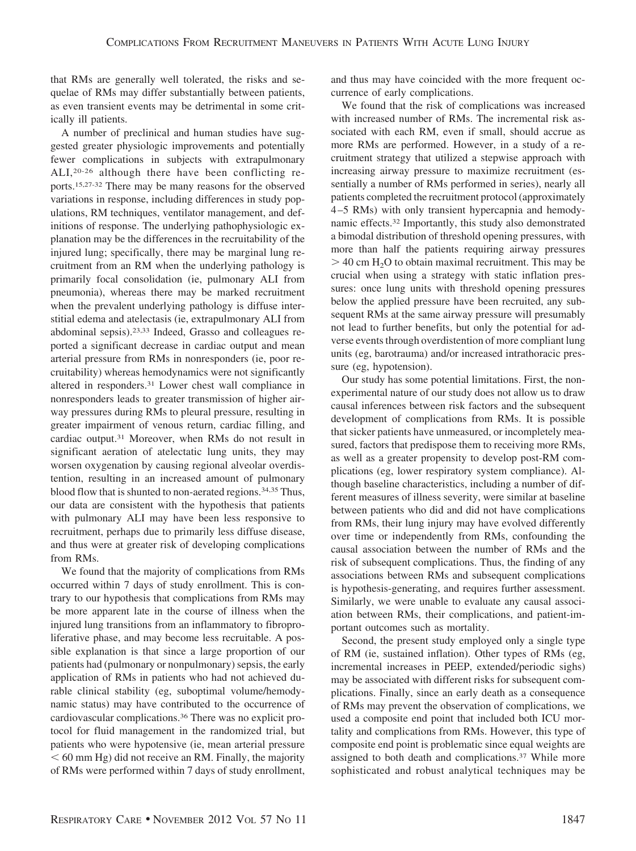that RMs are generally well tolerated, the risks and sequelae of RMs may differ substantially between patients, as even transient events may be detrimental in some critically ill patients.

A number of preclinical and human studies have suggested greater physiologic improvements and potentially fewer complications in subjects with extrapulmonary ALI,20-26 although there have been conflicting reports.15,27-32 There may be many reasons for the observed variations in response, including differences in study populations, RM techniques, ventilator management, and definitions of response. The underlying pathophysiologic explanation may be the differences in the recruitability of the injured lung; specifically, there may be marginal lung recruitment from an RM when the underlying pathology is primarily focal consolidation (ie, pulmonary ALI from pneumonia), whereas there may be marked recruitment when the prevalent underlying pathology is diffuse interstitial edema and atelectasis (ie, extrapulmonary ALI from abdominal sepsis).23,33 Indeed, Grasso and colleagues reported a significant decrease in cardiac output and mean arterial pressure from RMs in nonresponders (ie, poor recruitability) whereas hemodynamics were not significantly altered in responders.31 Lower chest wall compliance in nonresponders leads to greater transmission of higher airway pressures during RMs to pleural pressure, resulting in greater impairment of venous return, cardiac filling, and cardiac output.31 Moreover, when RMs do not result in significant aeration of atelectatic lung units, they may worsen oxygenation by causing regional alveolar overdistention, resulting in an increased amount of pulmonary blood flow that is shunted to non-aerated regions.<sup>34,35</sup> Thus, our data are consistent with the hypothesis that patients with pulmonary ALI may have been less responsive to recruitment, perhaps due to primarily less diffuse disease, and thus were at greater risk of developing complications from RMs.

We found that the majority of complications from RMs occurred within 7 days of study enrollment. This is contrary to our hypothesis that complications from RMs may be more apparent late in the course of illness when the injured lung transitions from an inflammatory to fibroproliferative phase, and may become less recruitable. A possible explanation is that since a large proportion of our patients had (pulmonary or nonpulmonary) sepsis, the early application of RMs in patients who had not achieved durable clinical stability (eg, suboptimal volume/hemodynamic status) may have contributed to the occurrence of cardiovascular complications.36 There was no explicit protocol for fluid management in the randomized trial, but patients who were hypotensive (ie, mean arterial pressure  $60$  mm Hg) did not receive an RM. Finally, the majority of RMs were performed within 7 days of study enrollment,

and thus may have coincided with the more frequent occurrence of early complications.

We found that the risk of complications was increased with increased number of RMs. The incremental risk associated with each RM, even if small, should accrue as more RMs are performed. However, in a study of a recruitment strategy that utilized a stepwise approach with increasing airway pressure to maximize recruitment (essentially a number of RMs performed in series), nearly all patients completed the recruitment protocol (approximately 4 –5 RMs) with only transient hypercapnia and hemodynamic effects.32 Importantly, this study also demonstrated a bimodal distribution of threshold opening pressures, with more than half the patients requiring airway pressures  $>$  40 cm H<sub>2</sub>O to obtain maximal recruitment. This may be crucial when using a strategy with static inflation pressures: once lung units with threshold opening pressures below the applied pressure have been recruited, any subsequent RMs at the same airway pressure will presumably not lead to further benefits, but only the potential for adverse events through overdistention of more compliant lung units (eg, barotrauma) and/or increased intrathoracic pressure (eg, hypotension).

Our study has some potential limitations. First, the nonexperimental nature of our study does not allow us to draw causal inferences between risk factors and the subsequent development of complications from RMs. It is possible that sicker patients have unmeasured, or incompletely measured, factors that predispose them to receiving more RMs, as well as a greater propensity to develop post-RM complications (eg, lower respiratory system compliance). Although baseline characteristics, including a number of different measures of illness severity, were similar at baseline between patients who did and did not have complications from RMs, their lung injury may have evolved differently over time or independently from RMs, confounding the causal association between the number of RMs and the risk of subsequent complications. Thus, the finding of any associations between RMs and subsequent complications is hypothesis-generating, and requires further assessment. Similarly, we were unable to evaluate any causal association between RMs, their complications, and patient-important outcomes such as mortality.

Second, the present study employed only a single type of RM (ie, sustained inflation). Other types of RMs (eg, incremental increases in PEEP, extended/periodic sighs) may be associated with different risks for subsequent complications. Finally, since an early death as a consequence of RMs may prevent the observation of complications, we used a composite end point that included both ICU mortality and complications from RMs. However, this type of composite end point is problematic since equal weights are assigned to both death and complications.<sup>37</sup> While more sophisticated and robust analytical techniques may be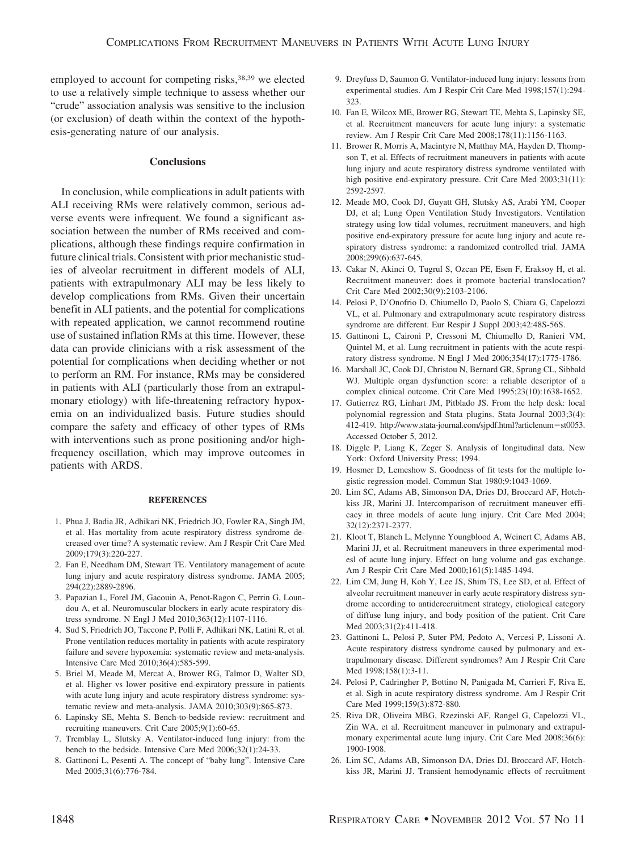employed to account for competing risks,<sup>38,39</sup> we elected to use a relatively simple technique to assess whether our "crude" association analysis was sensitive to the inclusion (or exclusion) of death within the context of the hypothesis-generating nature of our analysis.

## **Conclusions**

In conclusion, while complications in adult patients with ALI receiving RMs were relatively common, serious adverse events were infrequent. We found a significant association between the number of RMs received and complications, although these findings require confirmation in future clinical trials. Consistent with prior mechanistic studies of alveolar recruitment in different models of ALI, patients with extrapulmonary ALI may be less likely to develop complications from RMs. Given their uncertain benefit in ALI patients, and the potential for complications with repeated application, we cannot recommend routine use of sustained inflation RMs at this time. However, these data can provide clinicians with a risk assessment of the potential for complications when deciding whether or not to perform an RM. For instance, RMs may be considered in patients with ALI (particularly those from an extrapulmonary etiology) with life-threatening refractory hypoxemia on an individualized basis. Future studies should compare the safety and efficacy of other types of RMs with interventions such as prone positioning and/or highfrequency oscillation, which may improve outcomes in patients with ARDS.

#### **REFERENCES**

- 1. Phua J, Badia JR, Adhikari NK, Friedrich JO, Fowler RA, Singh JM, et al. Has mortality from acute respiratory distress syndrome decreased over time? A systematic review. Am J Respir Crit Care Med 2009;179(3):220-227.
- 2. Fan E, Needham DM, Stewart TE. Ventilatory management of acute lung injury and acute respiratory distress syndrome. JAMA 2005; 294(22):2889-2896.
- 3. Papazian L, Forel JM, Gacouin A, Penot-Ragon C, Perrin G, Loundou A, et al. Neuromuscular blockers in early acute respiratory distress syndrome. N Engl J Med 2010;363(12):1107-1116.
- 4. Sud S, Friedrich JO, Taccone P, Polli F, Adhikari NK, Latini R, et al. Prone ventilation reduces mortality in patients with acute respiratory failure and severe hypoxemia: systematic review and meta-analysis. Intensive Care Med 2010;36(4):585-599.
- 5. Briel M, Meade M, Mercat A, Brower RG, Talmor D, Walter SD, et al. Higher vs lower positive end-expiratory pressure in patients with acute lung injury and acute respiratory distress syndrome: systematic review and meta-analysis. JAMA 2010;303(9):865-873.
- 6. Lapinsky SE, Mehta S. Bench-to-bedside review: recruitment and recruiting maneuvers. Crit Care 2005;9(1):60-65.
- 7. Tremblay L, Slutsky A. Ventilator-induced lung injury: from the bench to the bedside. Intensive Care Med 2006;32(1):24-33.
- 8. Gattinoni L, Pesenti A. The concept of "baby lung". Intensive Care Med 2005;31(6):776-784.
- 9. Dreyfuss D, Saumon G. Ventilator-induced lung injury: lessons from experimental studies. Am J Respir Crit Care Med 1998;157(1):294- 323.
- 10. Fan E, Wilcox ME, Brower RG, Stewart TE, Mehta S, Lapinsky SE, et al. Recruitment maneuvers for acute lung injury: a systematic review. Am J Respir Crit Care Med 2008;178(11):1156-1163.
- 11. Brower R, Morris A, Macintyre N, Matthay MA, Hayden D, Thompson T, et al. Effects of recruitment maneuvers in patients with acute lung injury and acute respiratory distress syndrome ventilated with high positive end-expiratory pressure. Crit Care Med 2003;31(11): 2592-2597.
- 12. Meade MO, Cook DJ, Guyatt GH, Slutsky AS, Arabi YM, Cooper DJ, et al; Lung Open Ventilation Study Investigators. Ventilation strategy using low tidal volumes, recruitment maneuvers, and high positive end-expiratory pressure for acute lung injury and acute respiratory distress syndrome: a randomized controlled trial. JAMA 2008;299(6):637-645.
- 13. Cakar N, Akinci O, Tugrul S, Ozcan PE, Esen F, Eraksoy H, et al. Recruitment maneuver: does it promote bacterial translocation? Crit Care Med 2002;30(9):2103-2106.
- 14. Pelosi P, D'Onofrio D, Chiumello D, Paolo S, Chiara G, Capelozzi VL, et al. Pulmonary and extrapulmonary acute respiratory distress syndrome are different. Eur Respir J Suppl 2003;42:48S-56S.
- 15. Gattinoni L, Caironi P, Cressoni M, Chiumello D, Ranieri VM, Quintel M, et al. Lung recruitment in patients with the acute respiratory distress syndrome. N Engl J Med 2006;354(17):1775-1786.
- 16. Marshall JC, Cook DJ, Christou N, Bernard GR, Sprung CL, Sibbald WJ. Multiple organ dysfunction score: a reliable descriptor of a complex clinical outcome. Crit Care Med 1995;23(10):1638-1652.
- 17. Gutierrez RG, Linhart JM, Pitblado JS. From the help desk: local polynomial regression and Stata plugins. Stata Journal 2003;3(4): 412-419. http://www.stata-journal.com/sjpdf.html?articlenum-st0053. Accessed October 5, 2012.
- 18. Diggle P, Liang K, Zeger S. Analysis of longitudinal data. New York: Oxford University Press; 1994.
- 19. Hosmer D, Lemeshow S. Goodness of fit tests for the multiple logistic regression model. Commun Stat 1980;9:1043-1069.
- 20. Lim SC, Adams AB, Simonson DA, Dries DJ, Broccard AF, Hotchkiss JR, Marini JJ. Intercomparison of recruitment maneuver efficacy in three models of acute lung injury. Crit Care Med 2004; 32(12):2371-2377.
- 21. Kloot T, Blanch L, Melynne Youngblood A, Weinert C, Adams AB, Marini JJ, et al. Recruitment maneuvers in three experimental modesl of acute lung injury. Effect on lung volume and gas exchange. Am J Respir Crit Care Med 2000;161(5):1485-1494.
- 22. Lim CM, Jung H, Koh Y, Lee JS, Shim TS, Lee SD, et al. Effect of alveolar recruitment maneuver in early acute respiratory distress syndrome according to antiderecruitment strategy, etiological category of diffuse lung injury, and body position of the patient. Crit Care Med 2003;31(2):411-418.
- 23. Gattinoni L, Pelosi P, Suter PM, Pedoto A, Vercesi P, Lissoni A. Acute respiratory distress syndrome caused by pulmonary and extrapulmonary disease. Different syndromes? Am J Respir Crit Care Med 1998;158(1):3-11.
- 24. Pelosi P, Cadringher P, Bottino N, Panigada M, Carrieri F, Riva E, et al. Sigh in acute respiratory distress syndrome. Am J Respir Crit Care Med 1999;159(3):872-880.
- 25. Riva DR, Oliveira MBG, Rzezinski AF, Rangel G, Capelozzi VL, Zin WA, et al. Recruitment maneuver in pulmonary and extrapulmonary experimental acute lung injury. Crit Care Med 2008;36(6): 1900-1908.
- 26. Lim SC, Adams AB, Simonson DA, Dries DJ, Broccard AF, Hotchkiss JR, Marini JJ. Transient hemodynamic effects of recruitment